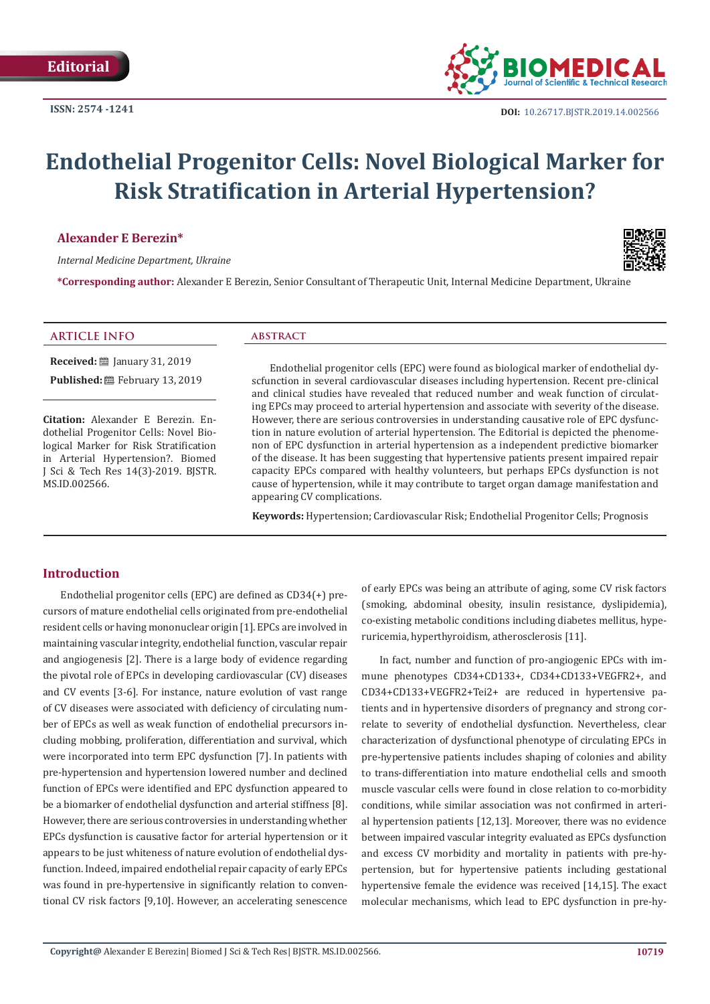

# **Endothelial Progenitor Cells: Novel Biological Marker for Risk Stratification in Arterial Hypertension?**

#### **Alexander E Berezin\***

*Internal Medicine Department, Ukraine*



**\*Corresponding author:** Alexander E Berezin, Senior Consultant of Therapeutic Unit, Internal Medicine Department, Ukraine

## **ARTICLE INFO abstract**

**Received:** ■ January 31, 2019 **Published:** ■ February 13, 2019

**Citation:** Alexander E Berezin. Endothelial Progenitor Cells: Novel Biological Marker for Risk Stratification in Arterial Hypertension?. Biomed J Sci & Tech Res 14(3)-2019. BJSTR. MS.ID.002566.

Endothelial progenitor cells (EPC) were found as biological marker of endothelial dyscfunction in several cardiovascular diseases including hypertension. Recent pre-clinical and clinical studies have revealed that reduced number and weak function of circulating EPCs may proceed to arterial hypertension and associate with severity of the disease. However, there are serious controversies in understanding causative role of EPC dysfunction in nature evolution of arterial hypertension. The Editorial is depicted the phenomenon of EPC dysfunction in arterial hypertension as a independent predictive biomarker of the disease. It has been suggesting that hypertensive patients present impaired repair capacity EPCs compared with healthy volunteers, but perhaps EPCs dysfunction is not cause of hypertension, while it may contribute to target organ damage manifestation and appearing CV complications.

**Keywords:** Hypertension; Cardiovascular Risk; Endothelial Progenitor Cells; Prognosis

### **Introduction**

Endothelial progenitor cells (EPC) are defined as CD34(+) precursors of mature endothelial cells originated from pre-endothelial resident cells or having mononuclear origin [1]. EPCs are involved in maintaining vascular integrity, endothelial function, vascular repair and angiogenesis [2]. There is a large body of evidence regarding the pivotal role of EPCs in developing cardiovascular (CV) diseases and CV events [3-6]. For instance, nature evolution of vast range of CV diseases were associated with deficiency of circulating number of EPCs as well as weak function of endothelial precursors including mobbing, proliferation, differentiation and survival, which were incorporated into term EPC dysfunction [7]. In patients with pre-hypertension and hypertension lowered number and declined function of EPCs were identified and EPC dysfunction appeared to be a biomarker of endothelial dysfunction and arterial stiffness [8]. However, there are serious controversies in understanding whether EPCs dysfunction is causative factor for arterial hypertension or it appears to be just whiteness of nature evolution of endothelial dysfunction. Indeed, impaired endothelial repair capacity of early EPCs was found in pre-hypertensive in significantly relation to conventional CV risk factors [9,10]. However, an accelerating senescence of early EPCs was being an attribute of aging, some CV risk factors (smoking, abdominal obesity, insulin resistance, dyslipidemia), co-existing metabolic conditions including diabetes mellitus, hyperuricemia, hyperthyroidism, atherosclerosis [11].

In fact, number and function of pro-angiogenic EPCs with immune phenotypes CD34+CD133+, CD34+CD133+VEGFR2+, and CD34+CD133+VEGFR2+Tei2+ are reduced in hypertensive patients and in hypertensive disorders of pregnancy and strong correlate to severity of endothelial dysfunction. Nevertheless, clear characterization of dysfunctional phenotype of circulating EPCs in pre-hypertensive patients includes shaping of colonies and ability to trans-differentiation into mature endothelial cells and smooth muscle vascular cells were found in close relation to co-morbidity conditions, while similar association was not confirmed in arterial hypertension patients [12,13]. Moreover, there was no evidence between impaired vascular integrity evaluated as EPCs dysfunction and excess CV morbidity and mortality in patients with pre-hypertension, but for hypertensive patients including gestational hypertensive female the evidence was received [14,15]. The exact molecular mechanisms, which lead to EPC dysfunction in pre-hy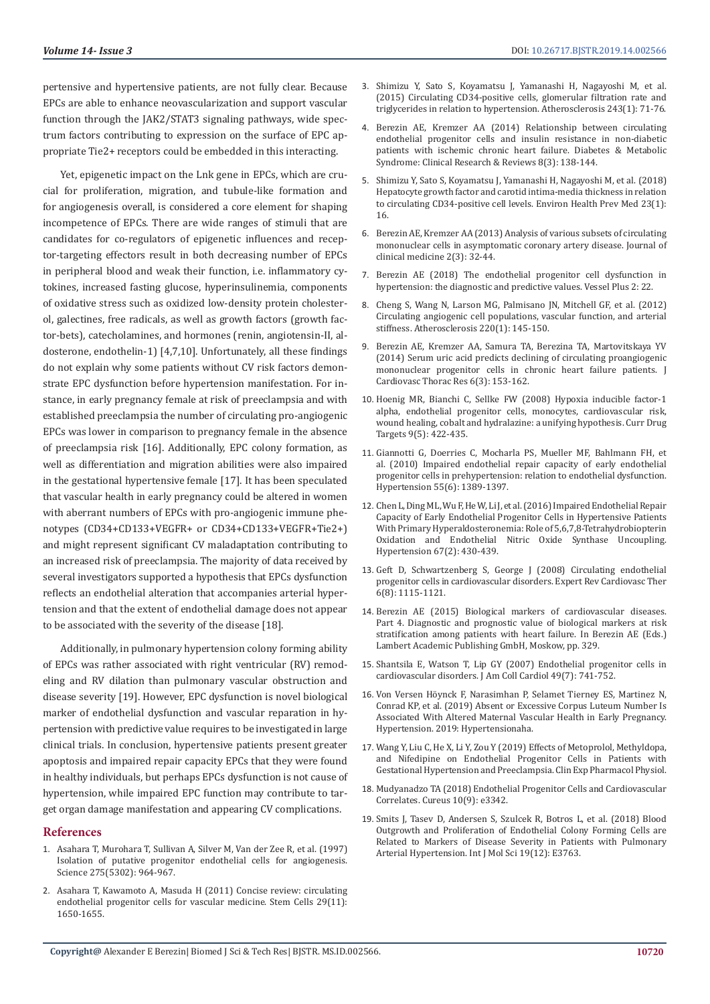pertensive and hypertensive patients, are not fully clear. Because EPCs are able to enhance neovascularization and support vascular function through the JAK2/STAT3 signaling pathways, wide spectrum factors contributing to expression on the surface of EPC appropriate Tie2+ receptors could be embedded in this interacting.

Yet, epigenetic impact on the Lnk gene in EPCs, which are crucial for proliferation, migration, and tubule-like formation and for angiogenesis overall, is considered a core element for shaping incompetence of EPCs. There are wide ranges of stimuli that are candidates for co-regulators of epigenetic influences and receptor-targeting effectors result in both decreasing number of EPCs in peripheral blood and weak their function, i.e. inflammatory cytokines, increased fasting glucose, hyperinsulinemia, components of oxidative stress such as oxidized low-density protein cholesterol, galectines, free radicals, as well as growth factors (growth factor-bets), catecholamines, and hormones (renin, angiotensin-II, aldosterone, endothelin-1) [4,7,10]. Unfortunately, all these findings do not explain why some patients without CV risk factors demonstrate EPC dysfunction before hypertension manifestation. For instance, in early pregnancy female at risk of preeclampsia and with established preeclampsia the number of circulating pro-angiogenic EPCs was lower in comparison to pregnancy female in the absence of preeclampsia risk [16]. Additionally, EPC colony formation, as well as differentiation and migration abilities were also impaired in the gestational hypertensive female [17]. It has been speculated that vascular health in early pregnancy could be altered in women with aberrant numbers of EPCs with pro-angiogenic immune phenotypes (CD34+CD133+VEGFR+ or CD34+CD133+VEGFR+Tie2+) and might represent significant CV maladaptation contributing to an increased risk of preeclampsia. The majority of data received by several investigators supported a hypothesis that EPCs dysfunction reflects an endothelial alteration that accompanies arterial hypertension and that the extent of endothelial damage does not appear to be associated with the severity of the disease [18].

Additionally, in pulmonary hypertension colony forming ability of EPCs was rather associated with right ventricular (RV) remodeling and RV dilation than pulmonary vascular obstruction and disease severity [19]. However, EPC dysfunction is novel biological marker of endothelial dysfunction and vascular reparation in hypertension with predictive value requires to be investigated in large clinical trials. In conclusion, hypertensive patients present greater apoptosis and impaired repair capacity EPCs that they were found in healthy individuals, but perhaps EPCs dysfunction is not cause of hypertension, while impaired EPC function may contribute to target organ damage manifestation and appearing CV complications.

#### **References**

- 1. [Asahara T, Murohara T, Sullivan A, Silver M, Van der Zee R, et al. \(1997\)](https://www.ncbi.nlm.nih.gov/pubmed/9020076)  [Isolation of putative progenitor endothelial cells for angiogenesis.](https://www.ncbi.nlm.nih.gov/pubmed/9020076)  [Science 275\(5302\): 964-967.](https://www.ncbi.nlm.nih.gov/pubmed/9020076)
- 2. [Asahara T, Kawamoto A, Masuda H \(2011\) Concise review: circulating](https://www.ncbi.nlm.nih.gov/pubmed/21948649)  [endothelial progenitor cells for vascular medicine. Stem Cells 29\(11\):](https://www.ncbi.nlm.nih.gov/pubmed/21948649)  [1650-1655.](https://www.ncbi.nlm.nih.gov/pubmed/21948649)
- 3. [Shimizu Y, Sato S, Koyamatsu J, Yamanashi H, Nagayoshi M, et al.](https://www.ncbi.nlm.nih.gov/pubmed/26363435) [\(2015\) Circulating CD34-positive cells, glomerular filtration rate and](https://www.ncbi.nlm.nih.gov/pubmed/26363435) [triglycerides in relation to hypertension. Atherosclerosis 243\(1\): 71-76.](https://www.ncbi.nlm.nih.gov/pubmed/26363435)
- 4. [Berezin AE, Kremzer AA \(2014\) Relationship between circulating](https://www.researchgate.net/publication/264312916_Relationship_between_circulating_endothelial_progenitor_cells_and_insulin_resistance_in_non-diabetic_patients_with_ischemic_chronic_heart_failure) [endothelial progenitor cells and insulin resistance in non-diabetic](https://www.researchgate.net/publication/264312916_Relationship_between_circulating_endothelial_progenitor_cells_and_insulin_resistance_in_non-diabetic_patients_with_ischemic_chronic_heart_failure) [patients with ischemic chronic heart failure. Diabetes & Metabolic](https://www.researchgate.net/publication/264312916_Relationship_between_circulating_endothelial_progenitor_cells_and_insulin_resistance_in_non-diabetic_patients_with_ischemic_chronic_heart_failure) [Syndrome: Clinical Research & Reviews 8\(3\): 138-144.](https://www.researchgate.net/publication/264312916_Relationship_between_circulating_endothelial_progenitor_cells_and_insulin_resistance_in_non-diabetic_patients_with_ischemic_chronic_heart_failure)
- 5. [Shimizu Y, Sato S, Koyamatsu J, Yamanashi H, Nagayoshi M, et al. \(2018\)](https://www.ncbi.nlm.nih.gov/pmc/articles/PMC5934794/) [Hepatocyte growth factor and carotid intima-media thickness in relation](https://www.ncbi.nlm.nih.gov/pmc/articles/PMC5934794/) [to circulating CD34-positive cell levels. Environ Health Prev Med 23\(1\):](https://www.ncbi.nlm.nih.gov/pmc/articles/PMC5934794/) [16.](https://www.ncbi.nlm.nih.gov/pmc/articles/PMC5934794/)
- 6. [Berezin AE, Kremzer AA \(2013\) Analysis of various subsets of circulating](https://www.ncbi.nlm.nih.gov/pubmed/26237060) [mononuclear cells in asymptomatic coronary artery disease. Journal of](https://www.ncbi.nlm.nih.gov/pubmed/26237060) [clinical medicine 2\(3\): 32-44.](https://www.ncbi.nlm.nih.gov/pubmed/26237060)
- 7. [Berezin AE \(2018\) The endothelial progenitor cell dysfunction in](https://www.researchgate.net/publication/327633062_The_endothelial_progenitor_cell_dysfunction_in_hypertension_the_diagnostic_and_predictive_values) [hypertension: the diagnostic and predictive values. Vessel Plus 2: 22.](https://www.researchgate.net/publication/327633062_The_endothelial_progenitor_cell_dysfunction_in_hypertension_the_diagnostic_and_predictive_values)
- 8. [Cheng S, Wang N, Larson MG, Palmisano JN, Mitchell GF, et al. \(2012\)](https://www.ncbi.nlm.nih.gov/pubmed/22093724) [Circulating angiogenic cell populations, vascular function, and arterial](https://www.ncbi.nlm.nih.gov/pubmed/22093724) [stiffness. Atherosclerosis 220\(1\): 145-150.](https://www.ncbi.nlm.nih.gov/pubmed/22093724)
- 9. [Berezin AE, Kremzer AA, Samura TA, Berezina TA, Martovitskaya YV](https://www.ncbi.nlm.nih.gov/pmc/articles/PMC4195965/) [\(2014\) Serum uric acid predicts declining of circulating proangiogenic](https://www.ncbi.nlm.nih.gov/pmc/articles/PMC4195965/) [mononuclear progenitor cells in chronic heart failure patients. J](https://www.ncbi.nlm.nih.gov/pmc/articles/PMC4195965/) [Cardiovasc Thorac Res 6\(3\): 153-162.](https://www.ncbi.nlm.nih.gov/pmc/articles/PMC4195965/)
- 10. [Hoenig MR, Bianchi C, Sellke FW \(2008\) Hypoxia inducible factor-1](https://www.ncbi.nlm.nih.gov/pubmed/18473772) [alpha, endothelial progenitor cells, monocytes, cardiovascular risk,](https://www.ncbi.nlm.nih.gov/pubmed/18473772) [wound healing, cobalt and hydralazine: a unifying hypothesis. Curr Drug](https://www.ncbi.nlm.nih.gov/pubmed/18473772) [Targets 9\(5\): 422-435.](https://www.ncbi.nlm.nih.gov/pubmed/18473772)
- 11. [Giannotti G, Doerries C, Mocharla PS, Mueller MF, Bahlmann FH, et](https://europepmc.org/abstract/med/20458006) [al. \(2010\) Impaired endothelial repair capacity of early endothelial](https://europepmc.org/abstract/med/20458006) [progenitor cells in prehypertension: relation to endothelial dysfunction.](https://europepmc.org/abstract/med/20458006) [Hypertension 55\(6\): 1389-1397.](https://europepmc.org/abstract/med/20458006)
- 12. [Chen L, Ding ML, Wu F, He W, Li J, et al. \(2016\) Impaired Endothelial Repair](https://www.ncbi.nlm.nih.gov/pubmed/26628675) [Capacity of Early Endothelial Progenitor Cells in Hypertensive Patients](https://www.ncbi.nlm.nih.gov/pubmed/26628675) [With Primary Hyperaldosteronemia: Role of 5,6,7,8-Tetrahydrobiopterin](https://www.ncbi.nlm.nih.gov/pubmed/26628675) [Oxidation and Endothelial Nitric Oxide Synthase Uncoupling.](https://www.ncbi.nlm.nih.gov/pubmed/26628675) [Hypertension 67\(2\): 430-439.](https://www.ncbi.nlm.nih.gov/pubmed/26628675)
- 13. [Geft D, Schwartzenberg S, George J \(2008\) Circulating endothelial](https://www.tandfonline.com/doi/abs/10.1586/14779072.6.8.1115) [progenitor cells in cardiovascular disorders. Expert Rev Cardiovasc Ther](https://www.tandfonline.com/doi/abs/10.1586/14779072.6.8.1115) [6\(8\): 1115-1121.](https://www.tandfonline.com/doi/abs/10.1586/14779072.6.8.1115)
- 14. Berezin AE (2015) Biological markers of cardiovascular diseases. Part 4. Diagnostic and prognostic value of biological markers at risk stratification among patients with heart failure. In Berezin AE (Eds.) Lambert Academic Publishing GmbH, Moskow, pp. 329.
- 15. [Shantsila E, Watson T, Lip GY \(2007\) Endothelial progenitor cells in](https://www.ncbi.nlm.nih.gov/pubmed/17306702) [cardiovascular disorders. J Am Coll Cardiol 49\(7\): 741-752.](https://www.ncbi.nlm.nih.gov/pubmed/17306702)
- 16. [Von Versen Höynck F, Narasimhan P, Selamet Tierney ES, Martinez N,](https://www.ncbi.nlm.nih.gov/pubmed/30636549) [Conrad KP, et al. \(2019\) Absent or Excessive Corpus Luteum Number Is](https://www.ncbi.nlm.nih.gov/pubmed/30636549) [Associated With Altered Maternal Vascular Health in Early Pregnancy.](https://www.ncbi.nlm.nih.gov/pubmed/30636549) [Hypertension. 2019: Hypertensionaha.](https://www.ncbi.nlm.nih.gov/pubmed/30636549)
- 17. [Wang Y, Liu C, He X, Li Y, Zou Y \(2019\) Effects of Metoprolol, Methyldopa,](https://www.ncbi.nlm.nih.gov/pubmed/30614608) [and Nifedipine on Endothelial Progenitor Cells in Patients with](https://www.ncbi.nlm.nih.gov/pubmed/30614608) [Gestational Hypertension and Preeclampsia. Clin Exp Pharmacol Physiol.](https://www.ncbi.nlm.nih.gov/pubmed/30614608)
- 18. [Mudyanadzo TA \(2018\) Endothelial Progenitor Cells and Cardiovascular](https://www.researchgate.net/publication/327804734_Endothelial_Progenitor_Cells_and_Cardiovascular_Correlates) [Correlates. Cureus 10\(9\): e3342.](https://www.researchgate.net/publication/327804734_Endothelial_Progenitor_Cells_and_Cardiovascular_Correlates)
- 19. [Smits J, Tasev D, Andersen S, Szulcek R, Botros L, et al. \(2018\) Blood](https://www.ncbi.nlm.nih.gov/pmc/articles/PMC6321271/) [Outgrowth and Proliferation of Endothelial Colony Forming Cells are](https://www.ncbi.nlm.nih.gov/pmc/articles/PMC6321271/) [Related to Markers of Disease Severity in Patients with Pulmonary](https://www.ncbi.nlm.nih.gov/pmc/articles/PMC6321271/) [Arterial Hypertension. Int J Mol Sci 19\(12\): E3763.](https://www.ncbi.nlm.nih.gov/pmc/articles/PMC6321271/)